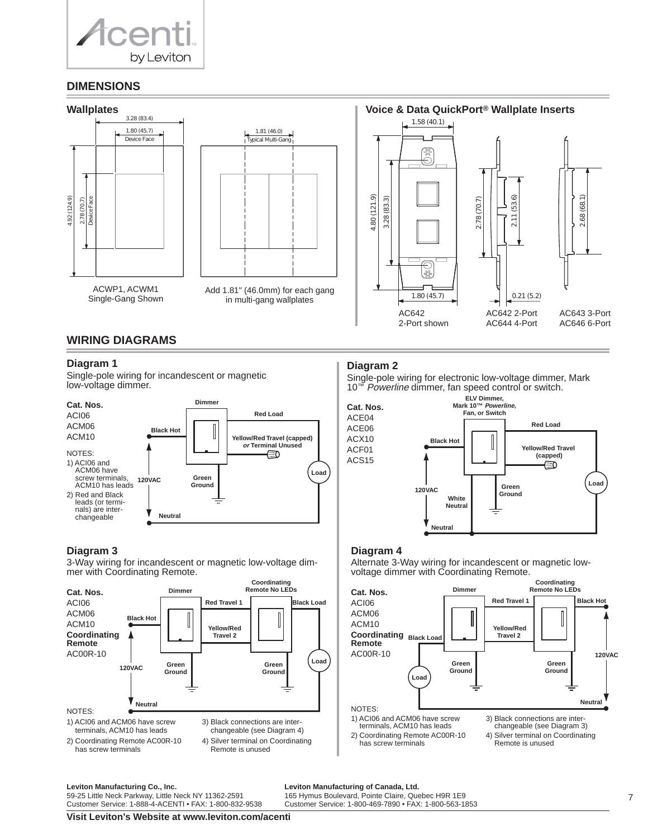

# **DIMENSIONS**



# **WIRING DIAGRAMS**

## **Diagram 1**

Single-pole wiring for incandescent or magnetic low-voltage dimmer.



## **Diagram 3**

3-Way wiring for incandescent or magnetic low-voltage dimmer with Coordinating Remote.



# **Diagram 2**

Single-pole wiring for electronic low-voltage dimmer, Mark 10<sup>™</sup> Powerline dimmer, fan speed control or switch.



# **Diagram 4**

Alternate 3-Way wiring for incandescent or magnetic lowvoltage dimmer with Coordinating Remote.

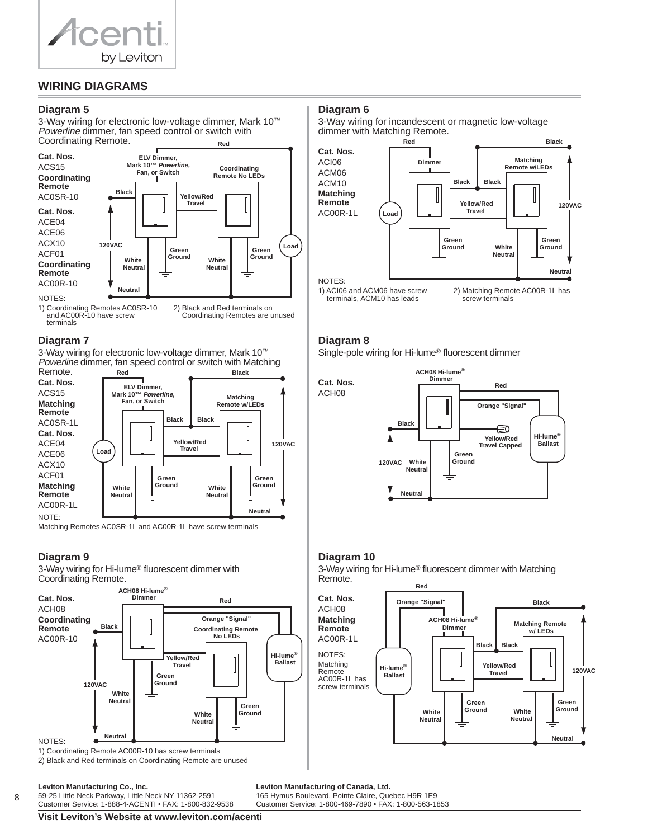

# **WIRING DIAGRAMS**

## **Diagram 5**

3-Way wiring for electronic low-voltage dimmer, Mark 10™ Powerline dimmer, fan speed control or switch with Coordinating Remote. **Red**



1) Coordinating Remotes AC0SR-10 and AC00R-10 have screw terminals 2) Black and Red terminals on Coordinating Remotes are unused

## **Diagram 7**

3-Way wiring for electronic low-voltage dimmer, Mark 10™ Powerline dimmer, fan speed control or switch with Matching Remote. **Red Black**



Matching Remotes AC0SR-1L and AC00R-1L have screw terminals

# **Diagram 9**

3-Way wiring for Hi-lume® fluorescent dimmer with Coordinating Remote.





2) Black and Red terminals on Coordinating Remote are unused

## **Diagram 6**

3-Way wiring for incandescent or magnetic low-voltage dimmer with Matching Remote.



1) ACI06 and ACM06 have screw terminals, ACM10 has leads

2) Matching Remote AC00R-1L has screw terminals

## **Diagram 8**

Single-pole wiring for Hi-lume® fluorescent dimmer



# **Diagram 10**

3-Way wiring for Hi-lume® fluorescent dimmer with Matching Remote. **Red**

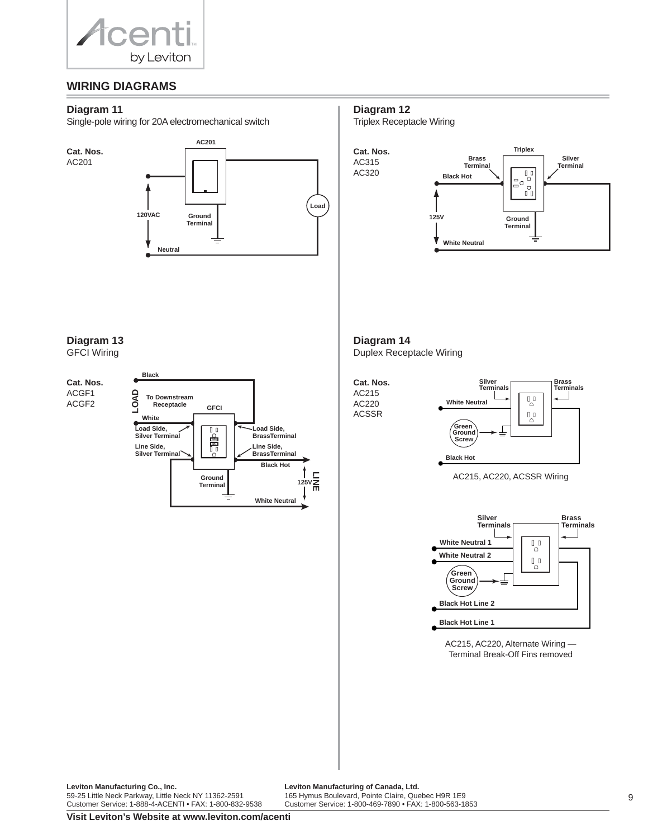

# **WIRING DIAGRAMS**

#### **Diagram 11**

Single-pole wiring for 20A electromechanical switch



**Diagram 12**

Triplex Receptacle Wiring



# **Diagram 13**

GFCI Wiring

## **Cat. Nos.** ACGF1

ACGF2



**Diagram 14** Duplex Receptacle Wiring





AC215, AC220, ACSSR Wiring



AC215, AC220, Alternate Wiring — Terminal Break-Off Fins removed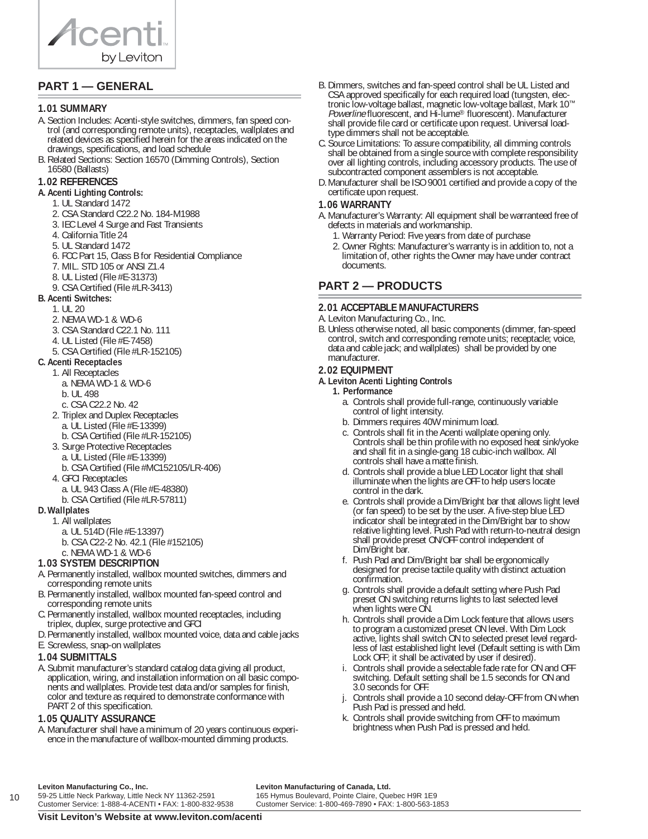

# **PART 1 — GENERAL**

#### **1.01 SUMMARY**

- A. Section Includes: Acenti-style switches, dimmers, fan speed control (and corresponding remote units), receptacles, wallplates and related devices as specified herein for the areas indicated on the drawings, specifications, and load schedule
- B. Related Sections: Section 16570 (Dimming Controls), Section 16580 (Ballasts)

#### **1.02 REFERENCES**

#### **A.Acenti Lighting Controls:**

- 1. UL Standard 1472
- 2. CSA Standard C22.2 No. 184-M1988
- 3. IEC Level 4 Surge and Fast Transients
- 4. California Title 24
- 5. UL Standard 1472
- 6. FCC Part 15, Class B for Residential Compliance
- 7. MIL. STD 105 or ANSI Z1.4
- 8. UL Listed (File #E-31373)
- 9. CSA Certified (File #LR-3413)
- **B.Acenti Switches:**
	- 1. UL 20
	- 2. NEMA WD-1 & WD-6
	- 3. CSA Standard C22.1 No. 111
	- 4. UL Listed (File #E-7458)
	- 5. CSA Certified (File #LR-152105)
- **C.Acenti Receptacles**
- 1. All Receptacles
	- a. NEMA WD-1 & WD-6
	- b. UL 498
	- c. CSA C22.2 No. 42
	- 2. Triplex and Duplex Receptacles
		- a. UL Listed (File #E-13399)
		- b. CSA Certified (File #LR-152105)
	- 3. Surge Protective Receptacles
		- a. UL Listed (File #E-13399)
		- b. CSA Certified (File #MC152105/LR-406)
	- 4. GFCI Receptacles
		- a. UL 943 Class A (File #E-48380)
		- b. CSA Certified (File #LR-57811)

## **D.Wallplates**

- 1. All wallplates
	- a. UL 514D (File #E-13397)
	- b. CSA C22-2 No. 42.1 (File #152105)

#### c. NEMA WD-1 & WD-6 **1.03 SYSTEM DESCRIPTION**

- A. Permanently installed, wallbox mounted switches, dimmers and corresponding remote units
- B. Permanently installed, wallbox mounted fan-speed control and corresponding remote units
- C. Permanently installed, wallbox mounted receptacles, including triplex, duplex, surge protective and GFCI
- D. Permanently installed, wallbox mounted voice, data and cable jacks
- E. Screwless, snap-on wallplates

# **1.04 SUBMITTALS**

A. Submit manufacturer's standard catalog data giving all product, application, wiring, and installation information on all basic components and wallplates. Provide test data and/or samples for finish, color and texture as required to demonstrate conformance with PART 2 of this specification.

# **1.05 QUALITY ASSURANCE**

A. Manufacturer shall have a minimum of 20 years continuous experience in the manufacture of wallbox-mounted dimming products.

- B. Dimmers, switches and fan-speed control shall be UL Listed and CSA approved specifically for each required load (tungsten, electronic low-voltage ballast, magnetic low-voltage ballast, Mark 10™ Powerline fluorescent, and Hi-lume® fluorescent). Manufacturer shall provide file card or certificate upon request. Universal loadtype dimmers shall not be acceptable.
- C. Source Limitations: To assure compatibility, all dimming controls shall be obtained from a single source with complete responsibility over all lighting controls, including accessory products. The use of subcontracted component assemblers is not acceptable.
- D. Manufacturer shall be ISO 9001 certified and provide a copy of the certificate upon request.

## **1.06 WARRANTY**

- A. Manufacturer's Warranty: All equipment shall be warranteed free of defects in materials and workmanship.
	- 1. Warranty Period: Five years from date of purchase
	- 2. Owner Rights: Manufacturer's warranty is in addition to, not a limitation of, other rights the Owner may have under contract documents.

# **PART 2 — PRODUCTS**

#### **2.01 ACCEPTABLE MANUFACTURERS**

- A. Leviton Manufacturing Co., Inc.
- B. Unless otherwise noted, all basic components (dimmer, fan-speed control, switch and corresponding remote units; receptacle; voice, data and cable jack; and wallplates) shall be provided by one manufacturer.

## **2.02 EQUIPMENT**

#### **A.Leviton Acenti Lighting Controls**

- **1. Performance**
	- a. Controls shall provide full-range, continuously variable control of light intensity.
	- b. Dimmers requires 40W minimum load.
	- c. Controls shall fit in the Acenti wallplate opening only. Controls shall be thin profile with no exposed heat sink/yoke and shall fit in a single-gang 18 cubic-inch wallbox. All controls shall have a matte finish.
	- d. Controls shall provide a blue LED Locator light that shall illuminate when the lights are OFF to help users locate control in the dark.
	- e. Controls shall provide a Dim/Bright bar that allows light level (or fan speed) to be set by the user. A five-step blue LED indicator shall be integrated in the Dim/Bright bar to show relative lighting level. Push Pad with return-to-neutral design shall provide preset ON/OFF control independent of Dim/Bright bar.
	- f. Push Pad and Dim/Bright bar shall be ergonomically designed for precise tactile quality with distinct actuation confirmation.
	- g. Controls shall provide a default setting where Push Pad preset ON switching returns lights to last selected level when lights were ON.
	- h. Controls shall provide a Dim Lock feature that allows users to program a customized preset ON level. With Dim Lock active, lights shall switch ON to selected preset level regardless of last established light level (Default setting is with Dim Lock OFF; it shall be activated by user if desired).
	- i. Controls shall provide a selectable fade rate for ON and OFF switching. Default setting shall be 1.5 seconds for ON and 3.0 seconds for OFF.
	- Controls shall provide a 10 second delay-OFF from ON when Push Pad is pressed and held.
	- k. Controls shall provide switching from OFF to maximum brightness when Push Pad is pressed and held.